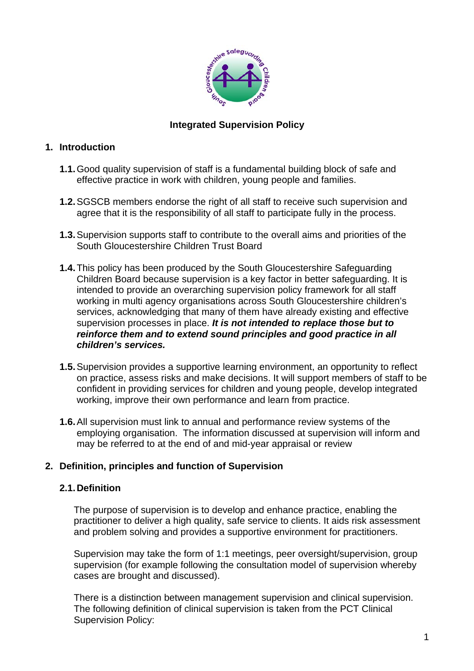

#### **Integrated Supervision Policy**

#### **1. Introduction**

- **1.1.**Good quality supervision of staff is a fundamental building block of safe and effective practice in work with children, young people and families.
- **1.2.**SGSCB members endorse the right of all staff to receive such supervision and agree that it is the responsibility of all staff to participate fully in the process.
- **1.3.**Supervision supports staff to contribute to the overall aims and priorities of the South Gloucestershire Children Trust Board
- **1.4.**This policy has been produced by the South Gloucestershire Safeguarding Children Board because supervision is a key factor in better safeguarding. It is intended to provide an overarching supervision policy framework for all staff working in multi agency organisations across South Gloucestershire children's services, acknowledging that many of them have already existing and effective supervision processes in place. *It is not intended to replace those but to reinforce them and to extend sound principles and good practice in all children's services.*
- **1.5.**Supervision provides a supportive learning environment, an opportunity to reflect on practice, assess risks and make decisions. It will support members of staff to be confident in providing services for children and young people, develop integrated working, improve their own performance and learn from practice.
- **1.6.**All supervision must link to annual and performance review systems of the employing organisation. The information discussed at supervision will inform and may be referred to at the end of and mid-year appraisal or review

#### **2. Definition, principles and function of Supervision**

#### **2.1. Definition**

The purpose of supervision is to develop and enhance practice, enabling the practitioner to deliver a high quality, safe service to clients. It aids risk assessment and problem solving and provides a supportive environment for practitioners.

Supervision may take the form of 1:1 meetings, peer oversight/supervision, group supervision (for example following the consultation model of supervision whereby cases are brought and discussed).

There is a distinction between management supervision and clinical supervision. The following definition of clinical supervision is taken from the PCT Clinical Supervision Policy: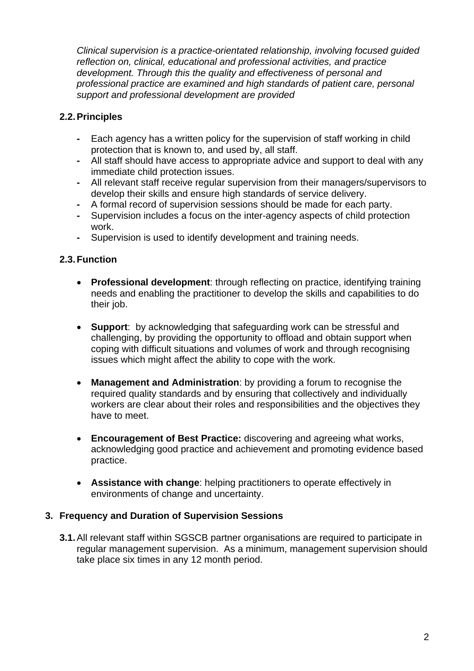*Clinical supervision is a practice-orientated relationship, involving focused guided reflection on, clinical, educational and professional activities, and practice development. Through this the quality and effectiveness of personal and professional practice are examined and high standards of patient care, personal support and professional development are provided*

### **2.2. Principles**

- **-** Each agency has a written policy for the supervision of staff working in child protection that is known to, and used by, all staff.
- **-** All staff should have access to appropriate advice and support to deal with any immediate child protection issues.
- **-** All relevant staff receive regular supervision from their managers/supervisors to develop their skills and ensure high standards of service delivery.
- **-** A formal record of supervision sessions should be made for each party.
- **-** Supervision includes a focus on the inter-agency aspects of child protection work.
- **-** Supervision is used to identify development and training needs.

## **2.3. Function**

- **Professional development**: through reflecting on practice, identifying training needs and enabling the practitioner to develop the skills and capabilities to do their job.
- **Support**: by acknowledging that safeguarding work can be stressful and challenging, by providing the opportunity to offload and obtain support when coping with difficult situations and volumes of work and through recognising issues which might affect the ability to cope with the work.
- **Management and Administration**: by providing a forum to recognise the required quality standards and by ensuring that collectively and individually workers are clear about their roles and responsibilities and the objectives they have to meet.
- **Encouragement of Best Practice:** discovering and agreeing what works, acknowledging good practice and achievement and promoting evidence based practice.
- **Assistance with change**: helping practitioners to operate effectively in environments of change and uncertainty.

#### **3. Frequency and Duration of Supervision Sessions**

**3.1.**All relevant staff within SGSCB partner organisations are required to participate in regular management supervision. As a minimum, management supervision should take place six times in any 12 month period.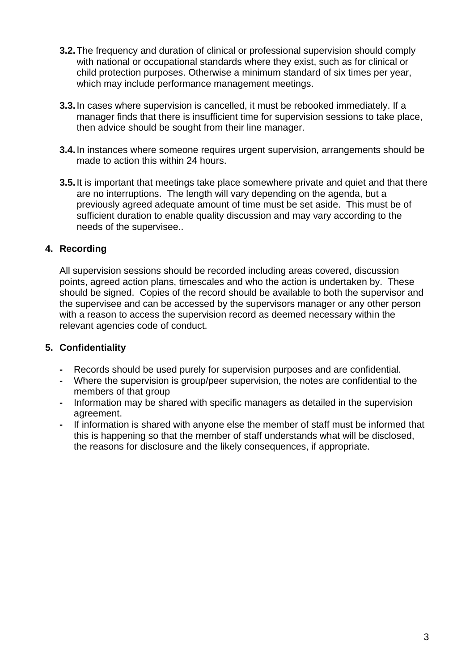- **3.2.** The frequency and duration of clinical or professional supervision should comply with national or occupational standards where they exist, such as for clinical or child protection purposes. Otherwise a minimum standard of six times per year, which may include performance management meetings.
- **3.3.**In cases where supervision is cancelled, it must be rebooked immediately. If a manager finds that there is insufficient time for supervision sessions to take place, then advice should be sought from their line manager.
- **3.4.**In instances where someone requires urgent supervision, arrangements should be made to action this within 24 hours.
- **3.5.**It is important that meetings take place somewhere private and quiet and that there are no interruptions. The length will vary depending on the agenda, but a previously agreed adequate amount of time must be set aside. This must be of sufficient duration to enable quality discussion and may vary according to the needs of the supervisee..

#### **4. Recording**

All supervision sessions should be recorded including areas covered, discussion points, agreed action plans, timescales and who the action is undertaken by. These should be signed. Copies of the record should be available to both the supervisor and the supervisee and can be accessed by the supervisors manager or any other person with a reason to access the supervision record as deemed necessary within the relevant agencies code of conduct.

#### **5. Confidentiality**

- **-** Records should be used purely for supervision purposes and are confidential.
- **-** Where the supervision is group/peer supervision, the notes are confidential to the members of that group
- **-** Information may be shared with specific managers as detailed in the supervision agreement.
- **-** If information is shared with anyone else the member of staff must be informed that this is happening so that the member of staff understands what will be disclosed, the reasons for disclosure and the likely consequences, if appropriate.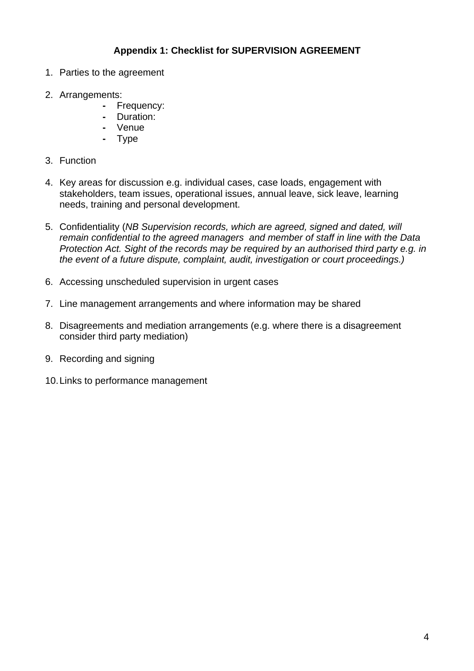### **Appendix 1: Checklist for SUPERVISION AGREEMENT**

- 1. Parties to the agreement
- 2. Arrangements:
	- **-** Frequency:
	- **-** Duration:
	- **-** Venue
	- **-** Type
- 3. Function
- 4. Key areas for discussion e.g. individual cases, case loads, engagement with stakeholders, team issues, operational issues, annual leave, sick leave, learning needs, training and personal development.
- 5. Confidentiality (*NB Supervision records, which are agreed, signed and dated, will remain confidential to the agreed managers and member of staff in line with the Data Protection Act. Sight of the records may be required by an authorised third party e.g. in the event of a future dispute, complaint, audit, investigation or court proceedings.)*
- 6. Accessing unscheduled supervision in urgent cases
- 7. Line management arrangements and where information may be shared
- 8. Disagreements and mediation arrangements (e.g. where there is a disagreement consider third party mediation)
- 9. Recording and signing
- 10. Links to performance management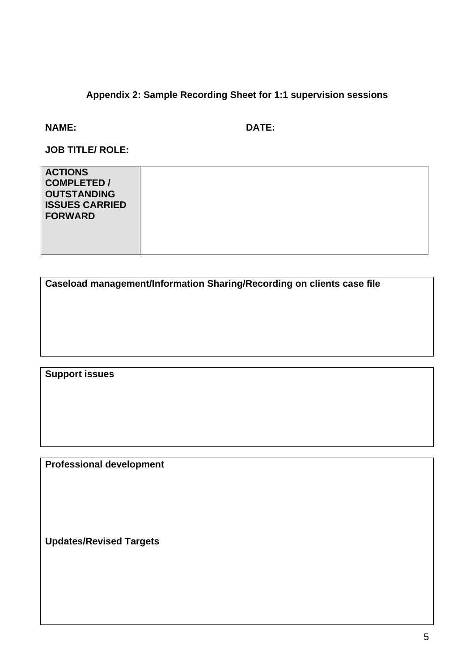# **Appendix 2: Sample Recording Sheet for 1:1 supervision sessions**

#### **NAME: DATE:**

**JOB TITLE/ ROLE:** 

| <b>ACTIONS</b><br><b>COMPLETED /</b><br><b>OUTSTANDING</b><br><b>ISSUES CARRIED</b><br><b>FORWARD</b> |  |
|-------------------------------------------------------------------------------------------------------|--|
|                                                                                                       |  |

| Caseload management/Information Sharing/Recording on clients case file |  |  |
|------------------------------------------------------------------------|--|--|
|                                                                        |  |  |
|                                                                        |  |  |
|                                                                        |  |  |
|                                                                        |  |  |

**Support issues** 

**Professional development** 

**Updates/Revised Targets**